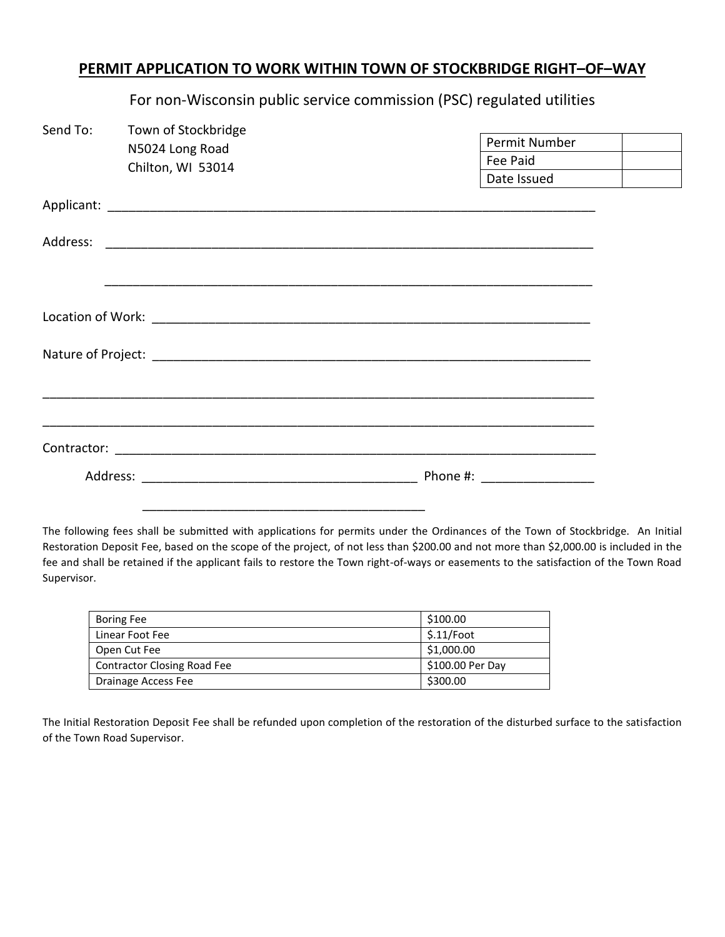## **PERMIT APPLICATION TO WORK WITHIN TOWN OF STOCKBRIDGE RIGHT–OF–WAY**

| Send To: | Town of Stockbridge<br>N5024 Long Road |             | Permit Number |
|----------|----------------------------------------|-------------|---------------|
|          | Chilton, WI 53014                      |             | Fee Paid      |
|          |                                        | Date Issued |               |
|          |                                        |             |               |
| Address: |                                        |             |               |
|          |                                        |             |               |
|          |                                        |             |               |
|          |                                        |             |               |
|          |                                        |             |               |
|          |                                        |             |               |
|          |                                        |             |               |
|          |                                        |             |               |

For non-Wisconsin public service commission (PSC) regulated utilities

The following fees shall be submitted with applications for permits under the Ordinances of the Town of Stockbridge. An Initial Restoration Deposit Fee, based on the scope of the project, of not less than \$200.00 and not more than \$2,000.00 is included in the fee and shall be retained if the applicant fails to restore the Town right-of-ways or easements to the satisfaction of the Town Road Supervisor.

| <b>Boring Fee</b>                  | \$100.00         |
|------------------------------------|------------------|
| Linear Foot Fee                    | \$.11/foot       |
| Open Cut Fee                       | \$1,000.00       |
| <b>Contractor Closing Road Fee</b> | \$100.00 Per Day |
| Drainage Access Fee                | \$300.00         |

The Initial Restoration Deposit Fee shall be refunded upon completion of the restoration of the disturbed surface to the satisfaction of the Town Road Supervisor.